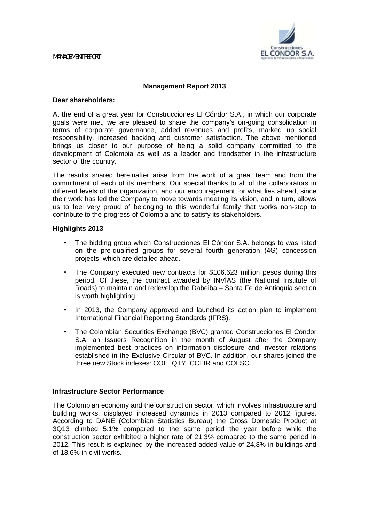

# **Management Report 2013**

### **Dear shareholders:**

At the end of a great year for Construcciones El Cóndor S.A., in which our corporate goals were met, we are pleased to share the company's on-going consolidation in terms of corporate governance, added revenues and profits, marked up social responsibility, increased backlog and customer satisfaction. The above mentioned brings us closer to our purpose of being a solid company committed to the development of Colombia as well as a leader and trendsetter in the infrastructure sector of the country.

The results shared hereinafter arise from the work of a great team and from the commitment of each of its members. Our special thanks to all of the collaborators in different levels of the organization, and our encouragement for what lies ahead, since their work has led the Company to move towards meeting its vision, and in turn, allows us to feel very proud of belonging to this wonderful family that works non-stop to contribute to the progress of Colombia and to satisfy its stakeholders.

# **Highlights 2013**

- The bidding group which Construcciones El Cóndor S.A. belongs to was listed on the pre-qualified groups for several fourth generation (4G) concession projects, which are detailed ahead.
- The Company executed new contracts for \$106.623 million pesos during this period. Of these, the contract awarded by INVÍAS (the National Institute of Roads) to maintain and redevelop the Dabeiba – Santa Fe de Antioquia section is worth highlighting.
- In 2013, the Company approved and launched its action plan to implement International Financial Reporting Standards (IFRS).
- The Colombian Securities Exchange (BVC) granted Construcciones El Cóndor S.A. an Issuers Recognition in the month of August after the Company implemented best practices on information disclosure and investor relations established in the Exclusive Circular of BVC. In addition, our shares joined the three new Stock indexes: COLEQTY, COLIR and COLSC.

### **Infrastructure Sector Performance**

The Colombian economy and the construction sector, which involves infrastructure and building works, displayed increased dynamics in 2013 compared to 2012 figures. According to DANE (Colombian Statistics Bureau) the Gross Domestic Product at 3Q13 climbed 5,1% compared to the same period the year before while the construction sector exhibited a higher rate of 21,3% compared to the same period in 2012. This result is explained by the increased added value of 24,8% in buildings and of 18,6% in civil works.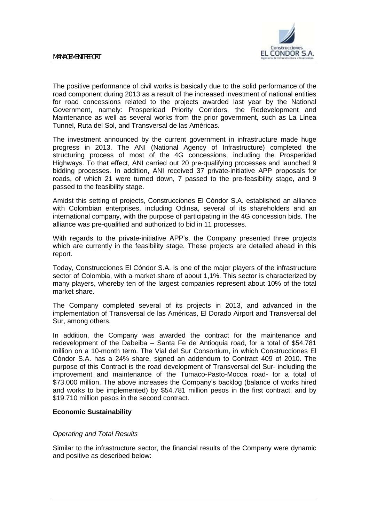

The positive performance of civil works is basically due to the solid performance of the road component during 2013 as a result of the increased investment of national entities for road concessions related to the projects awarded last year by the National Government, namely: Prosperidad Priority Corridors, the Redevelopment and Maintenance as well as several works from the prior government, such as La Línea Tunnel, Ruta del Sol, and Transversal de las Américas.

The investment announced by the current government in infrastructure made huge progress in 2013. The ANI (National Agency of Infrastructure) completed the structuring process of most of the 4G concessions, including the Prosperidad Highways. To that effect, ANI carried out 20 pre-qualifying processes and launched 9 bidding processes. In addition, ANI received 37 private-initiative APP proposals for roads, of which 21 were turned down, 7 passed to the pre-feasibility stage, and 9 passed to the feasibility stage.

Amidst this setting of projects, Construcciones El Cóndor S.A. established an alliance with Colombian enterprises, including Odinsa, several of its shareholders and an international company, with the purpose of participating in the 4G concession bids. The alliance was pre-qualified and authorized to bid in 11 processes.

With regards to the private-initiative APP's, the Company presented three projects which are currently in the feasibility stage. These projects are detailed ahead in this report.

Today, Construcciones El Cóndor S.A. is one of the major players of the infrastructure sector of Colombia, with a market share of about 1,1%. This sector is characterized by many players, whereby ten of the largest companies represent about 10% of the total market share.

The Company completed several of its projects in 2013, and advanced in the implementation of Transversal de las Américas, El Dorado Airport and Transversal del Sur, among others.

In addition, the Company was awarded the contract for the maintenance and redevelopment of the Dabeiba – Santa Fe de Antioquia road, for a total of \$54.781 million on a 10-month term. The Vial del Sur Consortium, in which Construcciones El Cóndor S.A. has a 24% share, signed an addendum to Contract 409 of 2010. The purpose of this Contract is the road development of Transversal del Sur- including the improvement and maintenance of the Tumaco-Pasto-Mocoa road- for a total of \$73.000 million. The above increases the Company's backlog (balance of works hired and works to be implemented) by \$54.781 million pesos in the first contract, and by \$19.710 million pesos in the second contract.

# **Economic Sustainability**

### *Operating and Total Results*

Similar to the infrastructure sector, the financial results of the Company were dynamic and positive as described below: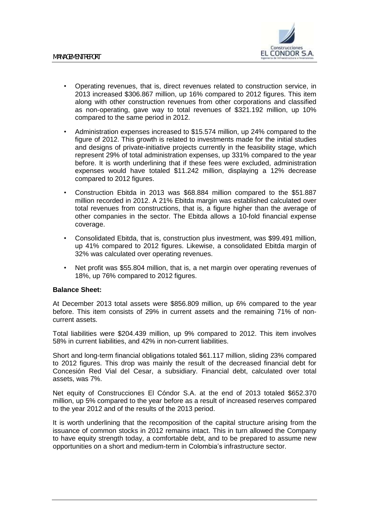

- Operating revenues, that is, direct revenues related to construction service, in 2013 increased \$306.867 million, up 16% compared to 2012 figures. This item along with other construction revenues from other corporations and classified as non-operating, gave way to total revenues of \$321.192 million, up 10% compared to the same period in 2012.
- Administration expenses increased to \$15.574 million, up 24% compared to the figure of 2012. This growth is related to investments made for the initial studies and designs of private-initiative projects currently in the feasibility stage, which represent 29% of total administration expenses, up 331% compared to the year before. It is worth underlining that if these fees were excluded, administration expenses would have totaled \$11.242 million, displaying a 12% decrease compared to 2012 figures.
- Construction Ebitda in 2013 was \$68.884 million compared to the \$51.887 million recorded in 2012. A 21% Ebitda margin was established calculated over total revenues from constructions, that is, a figure higher than the average of other companies in the sector. The Ebitda allows a 10-fold financial expense coverage.
- Consolidated Ebitda, that is, construction plus investment, was \$99.491 million, up 41% compared to 2012 figures. Likewise, a consolidated Ebitda margin of 32% was calculated over operating revenues.
- Net profit was \$55.804 million, that is, a net margin over operating revenues of 18%, up 76% compared to 2012 figures.

# **Balance Sheet:**

At December 2013 total assets were \$856.809 million, up 6% compared to the year before. This item consists of 29% in current assets and the remaining 71% of noncurrent assets.

Total liabilities were \$204.439 million, up 9% compared to 2012. This item involves 58% in current liabilities, and 42% in non-current liabilities.

Short and long-term financial obligations totaled \$61.117 million, sliding 23% compared to 2012 figures. This drop was mainly the result of the decreased financial debt for Concesión Red Vial del Cesar, a subsidiary. Financial debt, calculated over total assets, was 7%.

Net equity of Construcciones El Cóndor S.A. at the end of 2013 totaled \$652.370 million, up 5% compared to the year before as a result of increased reserves compared to the year 2012 and of the results of the 2013 period.

It is worth underlining that the recomposition of the capital structure arising from the issuance of common stocks in 2012 remains intact. This in turn allowed the Company to have equity strength today, a comfortable debt, and to be prepared to assume new opportunities on a short and medium-term in Colombia's infrastructure sector.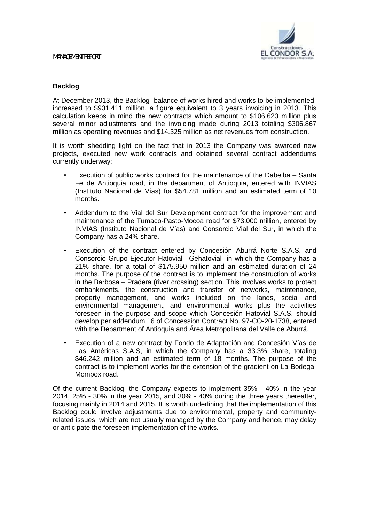

# **Backlog**

At December 2013, the Backlog -balance of works hired and works to be implementedincreased to \$931.411 million, a figure equivalent to 3 years invoicing in 2013. This calculation keeps in mind the new contracts which amount to \$106.623 million plus several minor adjustments and the invoicing made during 2013 totaling \$306.867 million as operating revenues and \$14.325 million as net revenues from construction.

It is worth shedding light on the fact that in 2013 the Company was awarded new projects, executed new work contracts and obtained several contract addendums currently underway:

- Execution of public works contract for the maintenance of the Dabeiba Santa Fe de Antioquia road, in the department of Antioquia, entered with INVIAS (Instituto Nacional de Vías) for \$54.781 million and an estimated term of 10 months.
- Addendum to the Vial del Sur Development contract for the improvement and maintenance of the Tumaco-Pasto-Mocoa road for \$73.000 million, entered by INVIAS (Instituto Nacional de Vías) and Consorcio Vial del Sur, in which the Company has a 24% share.
- Execution of the contract entered by Concesión Aburrá Norte S.A.S. and Consorcio Grupo Ejecutor Hatovial –Gehatovial- in which the Company has a 21% share, for a total of \$175.950 million and an estimated duration of 24 months. The purpose of the contract is to implement the construction of works in the Barbosa – Pradera (river crossing) section. This involves works to protect embankments, the construction and transfer of networks, maintenance, property management, and works included on the lands, social and environmental management, and environmental works plus the activities foreseen in the purpose and scope which Concesión Hatovial S.A.S. should develop per addendum 16 of Concession Contract No. 97-CO-20-1738, entered with the Department of Antioquia and Área Metropolitana del Valle de Aburrá.
- Execution of a new contract by Fondo de Adaptación and Concesión Vías de Las Américas S.A.S, in which the Company has a 33.3% share, totaling \$46.242 million and an estimated term of 18 months. The purpose of the contract is to implement works for the extension of the gradient on La Bodega-Mompox road.

Of the current Backlog, the Company expects to implement 35% - 40% in the year 2014, 25% - 30% in the year 2015, and 30% - 40% during the three years thereafter, focusing mainly in 2014 and 2015. It is worth underlining that the implementation of this Backlog could involve adjustments due to environmental, property and communityrelated issues, which are not usually managed by the Company and hence, may delay or anticipate the foreseen implementation of the works.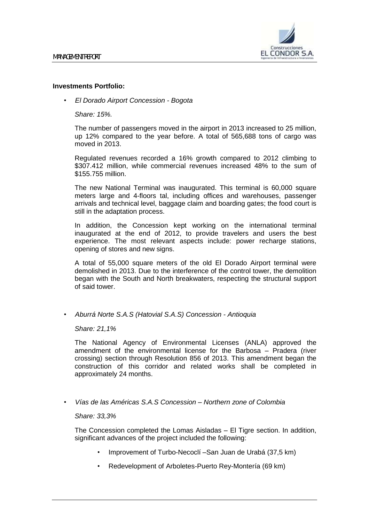

# **Investments Portfolio:**

• *El Dorado Airport Concession - Bogota*

*Share: 15%.*

The number of passengers moved in the airport in 2013 increased to 25 million, up 12% compared to the year before. A total of 565,688 tons of cargo was moved in 2013.

Regulated revenues recorded a 16% growth compared to 2012 climbing to \$307.412 million, while commercial revenues increased 48% to the sum of \$155.755 million.

The new National Terminal was inaugurated. This terminal is 60,000 square meters large and 4-floors tal, including offices and warehouses, passenger arrivals and technical level, baggage claim and boarding gates; the food court is still in the adaptation process.

In addition, the Concession kept working on the international terminal inaugurated at the end of 2012, to provide travelers and users the best experience. The most relevant aspects include: power recharge stations, opening of stores and new signs.

A total of 55,000 square meters of the old El Dorado Airport terminal were demolished in 2013. Due to the interference of the control tower, the demolition began with the South and North breakwaters, respecting the structural support of said tower.

• *Aburrá Norte S.A.S (Hatovial S.A.S) Concession - Antioquia*

*Share: 21,1%*

The National Agency of Environmental Licenses (ANLA) approved the amendment of the environmental license for the Barbosa – Pradera (river crossing) section through Resolution 856 of 2013. This amendment began the construction of this corridor and related works shall be completed in approximately 24 months.

• *Vías de las Américas S.A.S Concession – Northern zone of Colombia*

### *Share: 33,3%*

The Concession completed the Lomas Aisladas – El Tigre section. In addition, significant advances of the project included the following:

- Improvement of Turbo-Necoclí –San Juan de Urabá (37,5 km)
- Redevelopment of Arboletes-Puerto Rey-Montería (69 km)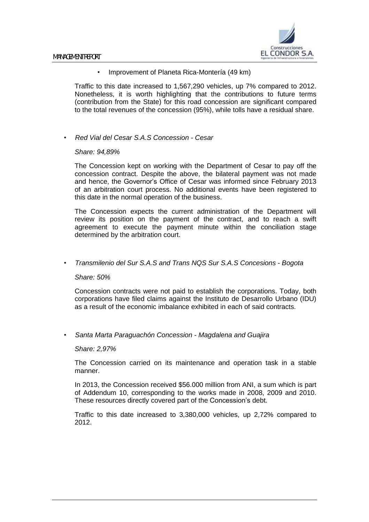

• Improvement of Planeta Rica-Montería (49 km)

Traffic to this date increased to 1,567,290 vehicles, up 7% compared to 2012. Nonetheless, it is worth highlighting that the contributions to future terms (contribution from the State) for this road concession are significant compared to the total revenues of the concession (95%), while tolls have a residual share.

• *Red Vial del Cesar S.A.S Concession - Cesar*

### *Share: 94,89%*

The Concession kept on working with the Department of Cesar to pay off the concession contract. Despite the above, the bilateral payment was not made and hence, the Governor's Office of Cesar was informed since February 2013 of an arbitration court process. No additional events have been registered to this date in the normal operation of the business.

The Concession expects the current administration of the Department will review its position on the payment of the contract, and to reach a swift agreement to execute the payment minute within the conciliation stage determined by the arbitration court.

• *Transmilenio del Sur S.A.S and Trans NQS Sur S.A.S Concesions - Bogota*

### *Share: 50%*

Concession contracts were not paid to establish the corporations. Today, both corporations have filed claims against the Instituto de Desarrollo Urbano (IDU) as a result of the economic imbalance exhibited in each of said contracts.

• *Santa Marta Paraguachón Concession - Magdalena and Guajira*

#### *Share: 2,97%*

The Concession carried on its maintenance and operation task in a stable manner.

In 2013, the Concession received \$56.000 million from ANI, a sum which is part of Addendum 10, corresponding to the works made in 2008, 2009 and 2010. These resources directly covered part of the Concession's debt.

Traffic to this date increased to 3,380,000 vehicles, up 2,72% compared to 2012.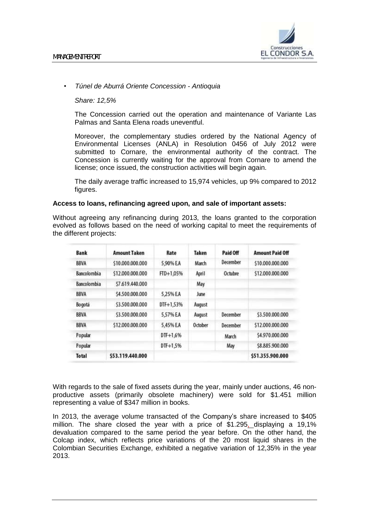

# • *Túnel de Aburrá Oriente Concession - Antioquia*

*Share: 12,5%*

The Concession carried out the operation and maintenance of Variante Las Palmas and Santa Elena roads uneventful.

Moreover, the complementary studies ordered by the National Agency of Environmental Licenses (ANLA) in Resolution 0456 of July 2012 were submitted to Cornare, the environmental authority of the contract. The Concession is currently waiting for the approval from Cornare to amend the license; once issued, the construction activities will begin again.

The daily average traffic increased to 15,974 vehicles, up 9% compared to 2012 figures.

# **Access to loans, refinancing agreed upon, and sale of important assets:**

Without agreeing any refinancing during 2013, the loans granted to the corporation evolved as follows based on the need of working capital to meet the requirements of the different projects:

| <b>Bank</b>        | <b>Amount Taken</b> | Rate       | Taken   | Paid Off | <b>Amount Paid Off</b> |
|--------------------|---------------------|------------|---------|----------|------------------------|
| <b>BBVA</b>        | \$10,000,000,000    | 5.90% EA   | March   | December | \$10,000,000,000       |
| <b>Bancolombia</b> | \$12,000,000,000    | FTD+1,05%  | April   | Octubre  | \$12,000,000,000       |
| Bancolombia        | \$7,619,440,000     |            | May     |          |                        |
| <b>BBVA</b>        | \$4,500,000,000     | 5.25% EA   | June    |          |                        |
| Bogotá             | \$3,500,000,000     | DTF+1,53%  | August  |          |                        |
| <b>BBVA</b>        | \$3,500,000,000     | 5.57% EA   | August  | December | \$3,500,000,000        |
| <b>BBVA</b>        | \$12,000,000,000    | 5,45% EA   | October | December | \$12,000,000,000       |
| Popular            |                     | $DTF+1,6%$ |         | March    | \$4,970,000,000        |
| Popular            |                     | DTF+1,5%   |         | May      | \$8,885,900,000        |
| <b>Total</b>       | \$53.119.440.000    |            |         |          | \$51.355.900.000       |

With regards to the sale of fixed assets during the year, mainly under auctions, 46 nonproductive assets (primarily obsolete machinery) were sold for \$1.451 million representing a value of \$347 million in books.

In 2013, the average volume transacted of the Company's share increased to \$405 million. The share closed the year with a price of \$1.295, displaying a 19,1% devaluation compared to the same period the year before. On the other hand, the Colcap index, which reflects price variations of the 20 most liquid shares in the Colombian Securities Exchange, exhibited a negative variation of 12,35% in the year 2013.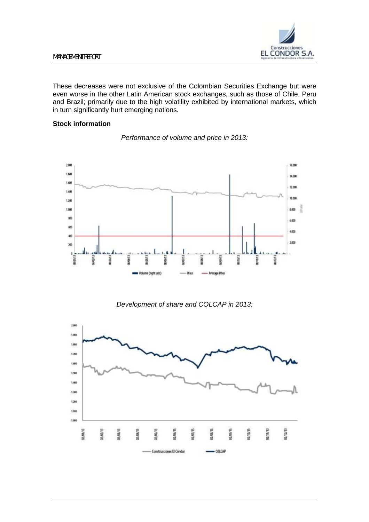

These decreases were not exclusive of the Colombian Securities Exchange but were even worse in the other Latin American stock exchanges, such as those of Chile, Peru and Brazil; primarily due to the high volatility exhibited by international markets, which in turn significantly hurt emerging nations.

# **Stock information**



*Performance of volume and price in 2013:*

# *Development of share and COLCAP in 2013:*

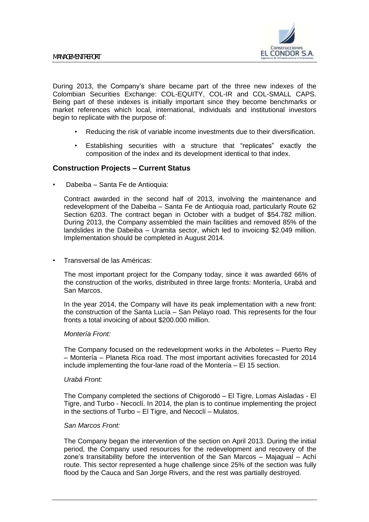

During 2013, the Company's share became part of the three new indexes of the Colombian Securities Exchange: COL-EQUITY, COL-IR and COL-SMALL CAPS. Being part of these indexes is initially important since they become benchmarks or market references which local, international, individuals and institutional investors begin to replicate with the purpose of:

- Reducing the risk of variable income investments due to their diversification.
- Establishing securities with a structure that "replicates" exactly the composition of the index and its development identical to that index.

# **Construction Projects – Current Status**

• Dabeiba – Santa Fe de Antioquia:

Contract awarded in the second half of 2013, involving the maintenance and redevelopment of the Dabeiba – Santa Fe de Antioquia road, particularly Route 62 Section 6203. The contract began in October with a budget of \$54.782 million. During 2013, the Company assembled the main facilities and removed 85% of the landslides in the Dabeiba – Uramita sector, which led to invoicing \$2.049 million. Implementation should be completed in August 2014.

• Transversal de las Américas:

The most important project for the Company today, since it was awarded 66% of the construction of the works, distributed in three large fronts: Montería, Urabá and San Marcos.

In the year 2014, the Company will have its peak implementation with a new front: the construction of the Santa Lucía – San Pelayo road. This represents for the four fronts a total invoicing of about \$200.000 million.

### *Montería Front:*

The Company focused on the redevelopment works in the Arboletes – Puerto Rey – Montería – Planeta Rica road. The most important activities forecasted for 2014 include implementing the four-lane road of the Montería – El 15 section.

### *Urabá Front:*

The Company completed the sections of Chigorodó – El Tigre, Lomas Aisladas - El Tigre, and Turbo - Necoclí. In 2014, the plan is to continue implementing the project in the sections of Turbo – El Tigre, and Necoclí – Mulatos.

### *San Marcos Front:*

The Company began the intervention of the section on April 2013. During the initial period, the Company used resources for the redevelopment and recovery of the zone's transitability before the intervention of the San Marcos – Majagual – Achí route. This sector represented a huge challenge since 25% of the section was fully flood by the Cauca and San Jorge Rivers, and the rest was partially destroyed.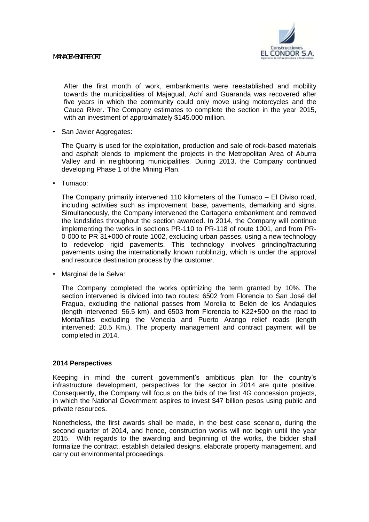

After the first month of work, embankments were reestablished and mobility towards the municipalities of Majagual, Achí and Guaranda was recovered after five years in which the community could only move using motorcycles and the Cauca River. The Company estimates to complete the section in the year 2015, with an investment of approximately \$145.000 million.

• San Javier Aggregates:

The Quarry is used for the exploitation, production and sale of rock-based materials and asphalt blends to implement the projects in the Metropolitan Area of Aburra Valley and in neighboring municipalities. During 2013, the Company continued developing Phase 1 of the Mining Plan.

• Tumaco:

The Company primarily intervened 110 kilometers of the Tumaco – El Diviso road, including activities such as improvement, base, pavements, demarking and signs. Simultaneously, the Company intervened the Cartagena embankment and removed the landslides throughout the section awarded. In 2014, the Company will continue implementing the works in sections PR-110 to PR-118 of route 1001, and from PR-0-000 to PR 31+000 of route 1002, excluding urban passes, using a new technology to redevelop rigid pavements. This technology involves grinding/fracturing pavements using the internationally known rubblinzig, which is under the approval and resource destination process by the customer.

• Marginal de la Selva:

The Company completed the works optimizing the term granted by 10%. The section intervened is divided into two routes: 6502 from Florencia to San José del Fragua, excluding the national passes from Morelia to Belén de los Andaquíes (length intervened: 56.5 km), and 6503 from Florencia to K22+500 on the road to Montañitas excluding the Venecia and Puerto Arango relief roads (length intervened: 20.5 Km.). The property management and contract payment will be completed in 2014.

### **2014 Perspectives**

Keeping in mind the current government's ambitious plan for the country's infrastructure development, perspectives for the sector in 2014 are quite positive. Consequently, the Company will focus on the bids of the first 4G concession projects, in which the National Government aspires to invest \$47 billion pesos using public and private resources.

Nonetheless, the first awards shall be made, in the best case scenario, during the second quarter of 2014, and hence, construction works will not begin until the year 2015. With regards to the awarding and beginning of the works, the bidder shall formalize the contract, establish detailed designs, elaborate property management, and carry out environmental proceedings.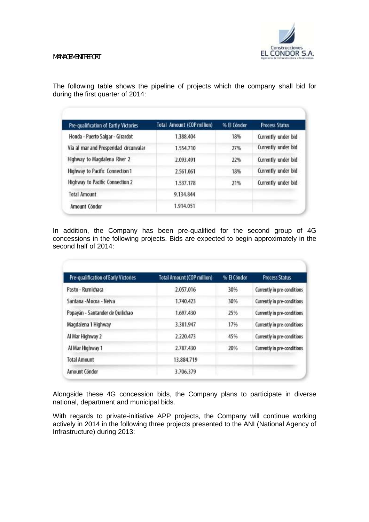The following table shows the pipeline of projects which the company shall bid for during the first quarter of 2014:

| Pre-qualification of Eartly Victories | Total Amount (COP million) | % El Cóndor | <b>Process Status</b> |  |
|---------------------------------------|----------------------------|-------------|-----------------------|--|
| Honda - Puerto Salgar - Girardot      | 1.388.404                  | 18%         | Currently under bid   |  |
| Vía al mar and Prosperidad drcunvalar | 1.554.710                  | 27%         | Currently under bid   |  |
| Highway to Magdalena River 2          | 2.093.491                  | 22%         | Currently under bid   |  |
| Highway to Pacific Connection 1       | 2.561.061                  | 18%         | Currently under bid   |  |
| Highway to Pacific Connection 2       | 1.537.178                  | 21%         | Currently under bid   |  |
| <b>Total Amount</b>                   | 9.134.844                  |             |                       |  |
| Amount Cóndor                         | 1.914.051                  |             |                       |  |

In addition, the Company has been pre-qualified for the second group of 4G concessions in the following projects. Bids are expected to begin approximately in the second half of 2014:

| Pre-qualification of Early Victories | <b>Total Amount (COP million)</b> | % El Cóndor | <b>Process Status</b>       |
|--------------------------------------|-----------------------------------|-------------|-----------------------------|
| Pasto - Rumichaca                    | 2.057.016                         | 30%         | Currently in pre-conditions |
| Santana - Mocoa - Neiva              | 1.740.423                         | 30%         | Currently in pre-conditions |
| Popayán - Santander de Quilichao     | 1.697.430                         | 25%         | Currently in pre-conditions |
| Magdalena 1 Highway                  | 3.381.947                         | 17%         | Currently in pre-conditions |
| Al Mar Highway 2                     | 2.220.473                         | 45%         | Currently in pre-conditions |
| Al Mar Highway 1                     | 2,787.430                         | 20%         | Currently in pre-conditions |
| <b>Total Amount</b>                  | 13.884.719                        |             |                             |
| Amount Cóndor                        | 3.706.379                         |             |                             |

Alongside these 4G concession bids, the Company plans to participate in diverse national, department and municipal bids.

With regards to private-initiative APP projects, the Company will continue working actively in 2014 in the following three projects presented to the ANI (National Agency of Infrastructure) during 2013: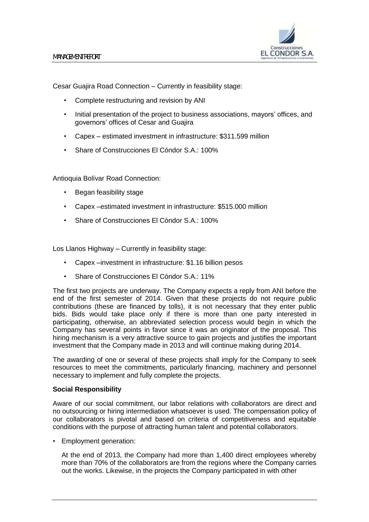

Cesar Guajira Road Connection – Currently in feasibility stage:

- Complete restructuring and revision by ANI
- Initial presentation of the project to business associations, mayors' offices, and governors' offices of Cesar and Guajira
- Capex estimated investment in infrastructure: \$311.599 million
- Share of Construcciones El Cóndor S.A.: 100%

Antioquia Bolívar Road Connection:

- Began feasibility stage
- Capex –estimated investment in infrastructure: \$515.000 million
- Share of Construcciones El Cóndor S.A.: 100%

Los Llanos Highway – Currently in feasibility stage:

- Capex –investment in infrastructure: \$1.16 billion pesos
- Share of Construcciones El Cóndor S.A.: 11%

The first two projects are underway. The Company expects a reply from ANI before the end of the first semester of 2014. Given that these projects do not require public contributions (these are financed by tolls), it is not necessary that they enter public bids. Bids would take place only if there is more than one party interested in participating, otherwise, an abbreviated selection process would begin in which the Company has several points in favor since it was an originator of the proposal. This hiring mechanism is a very attractive source to gain projects and justifies the important investment that the Company made in 2013 and will continue making during 2014.

The awarding of one or several of these projects shall imply for the Company to seek resources to meet the commitments, particularly financing, machinery and personnel necessary to implement and fully complete the projects.

### **Social Responsibility**

Aware of our social commitment, our labor relations with collaborators are direct and no outsourcing or hiring intermediation whatsoever is used. The compensation policy of our collaborators is pivotal and based on criteria of competitiveness and equitable conditions with the purpose of attracting human talent and potential collaborators.

- Employment generation:
	- At the end of 2013, the Company had more than 1,400 direct employees whereby more than 70% of the collaborators are from the regions where the Company carries out the works. Likewise, in the projects the Company participated in with other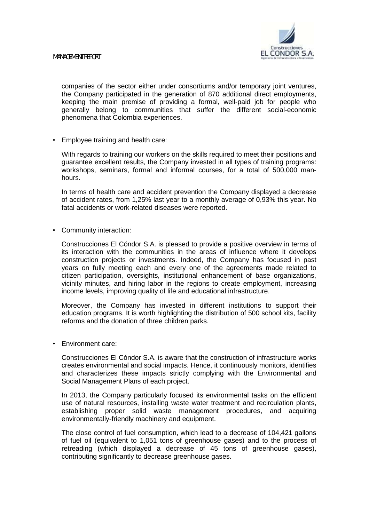

companies of the sector either under consortiums and/or temporary joint ventures, the Company participated in the generation of 870 additional direct employments, keeping the main premise of providing a formal, well-paid job for people who generally belong to communities that suffer the different social-economic phenomena that Colombia experiences.

• Employee training and health care:

With regards to training our workers on the skills required to meet their positions and guarantee excellent results, the Company invested in all types of training programs: workshops, seminars, formal and informal courses, for a total of 500,000 manhours.

In terms of health care and accident prevention the Company displayed a decrease of accident rates, from 1,25% last year to a monthly average of 0,93% this year. No fatal accidents or work-related diseases were reported.

• Community interaction:

Construcciones El Cóndor S.A. is pleased to provide a positive overview in terms of its interaction with the communities in the areas of influence where it develops construction projects or investments. Indeed, the Company has focused in past years on fully meeting each and every one of the agreements made related to citizen participation, oversights, institutional enhancement of base organizations, vicinity minutes, and hiring labor in the regions to create employment, increasing income levels, improving quality of life and educational infrastructure.

Moreover, the Company has invested in different institutions to support their education programs. It is worth highlighting the distribution of 500 school kits, facility reforms and the donation of three children parks.

• Environment care:

Construcciones El Cóndor S.A. is aware that the construction of infrastructure works creates environmental and social impacts. Hence, it continuously monitors, identifies and characterizes these impacts strictly complying with the Environmental and Social Management Plans of each project.

In 2013, the Company particularly focused its environmental tasks on the efficient use of natural resources, installing waste water treatment and recirculation plants, establishing proper solid waste management procedures, and acquiring environmentally-friendly machinery and equipment.

The close control of fuel consumption, which lead to a decrease of 104,421 gallons of fuel oil (equivalent to 1,051 tons of greenhouse gases) and to the process of retreading (which displayed a decrease of 45 tons of greenhouse gases), contributing significantly to decrease greenhouse gases.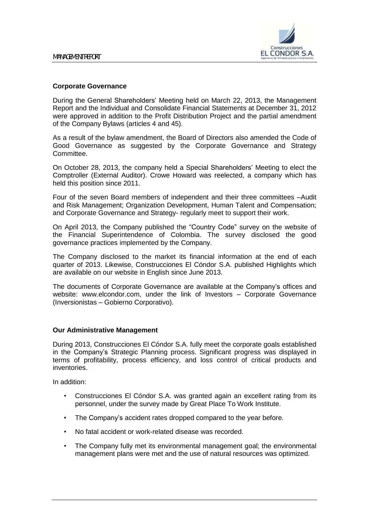

# **Corporate Governance**

During the General Shareholders' Meeting held on March 22, 2013, the Management Report and the Individual and Consolidate Financial Statements at December 31, 2012 were approved in addition to the Profit Distribution Project and the partial amendment of the Company Bylaws (articles 4 and 45).

As a result of the bylaw amendment, the Board of Directors also amended the Code of Good Governance as suggested by the Corporate Governance and Strategy Committee.

On October 28, 2013, the company held a Special Shareholders' Meeting to elect the Comptroller (External Auditor). Crowe Howard was reelected, a company which has held this position since 2011.

Four of the seven Board members of independent and their three committees –Audit and Risk Management; Organization Development, Human Talent and Compensation; and Corporate Governance and Strategy- regularly meet to support their work.

On April 2013, the Company published the "Country Code" survey on the website of the Financial Superintendence of Colombia. The survey disclosed the good governance practices implemented by the Company.

The Company disclosed to the market its financial information at the end of each quarter of 2013. Likewise, Construcciones El Cóndor S.A. published Highlights which are available on our website in English since June 2013.

The documents of Corporate Governance are available at the Company's offices and website: www.elcondor.com, under the link of Investors – Corporate Governance (Inversionistas – Gobierno Corporativo).

### **Our Administrative Management**

During 2013, Construcciones El Cóndor S.A. fully meet the corporate goals established in the Company's Strategic Planning process. Significant progress was displayed in terms of profitability, process efficiency, and loss control of critical products and inventories.

In addition:

- Construcciones El Cóndor S.A. was granted again an excellent rating from its personnel, under the survey made by Great Place To Work Institute.
- The Company's accident rates dropped compared to the year before.
- No fatal accident or work-related disease was recorded.
- The Company fully met its environmental management goal; the environmental management plans were met and the use of natural resources was optimized.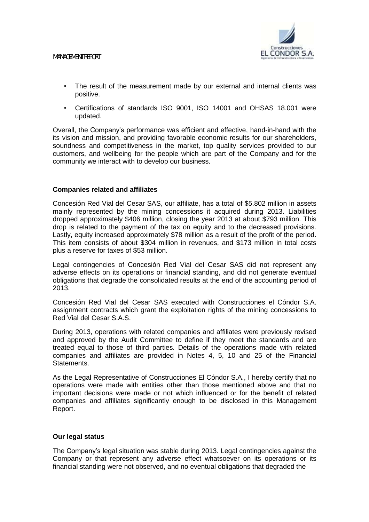

- The result of the measurement made by our external and internal clients was positive.
- Certifications of standards ISO 9001, ISO 14001 and OHSAS 18.001 were updated.

Overall, the Company's performance was efficient and effective, hand-in-hand with the its vision and mission, and providing favorable economic results for our shareholders, soundness and competitiveness in the market, top quality services provided to our customers, and wellbeing for the people which are part of the Company and for the community we interact with to develop our business.

# **Companies related and affiliates**

Concesión Red Vial del Cesar SAS, our affiliate, has a total of \$5.802 million in assets mainly represented by the mining concessions it acquired during 2013. Liabilities dropped approximately \$406 million, closing the year 2013 at about \$793 million. This drop is related to the payment of the tax on equity and to the decreased provisions. Lastly, equity increased approximately \$78 million as a result of the profit of the period. This item consists of about \$304 million in revenues, and \$173 million in total costs plus a reserve for taxes of \$53 million.

Legal contingencies of Concesión Red Vial del Cesar SAS did not represent any adverse effects on its operations or financial standing, and did not generate eventual obligations that degrade the consolidated results at the end of the accounting period of 2013.

Concesión Red Vial del Cesar SAS executed with Construcciones el Cóndor S.A. assignment contracts which grant the exploitation rights of the mining concessions to Red Vial del Cesar S.A.S.

During 2013, operations with related companies and affiliates were previously revised and approved by the Audit Committee to define if they meet the standards and are treated equal to those of third parties. Details of the operations made with related companies and affiliates are provided in Notes 4, 5, 10 and 25 of the Financial Statements.

As the Legal Representative of Construcciones El Cóndor S.A., I hereby certify that no operations were made with entities other than those mentioned above and that no important decisions were made or not which influenced or for the benefit of related companies and affiliates significantly enough to be disclosed in this Management Report.

# **Our legal status**

The Company's legal situation was stable during 2013. Legal contingencies against the Company or that represent any adverse effect whatsoever on its operations or its financial standing were not observed, and no eventual obligations that degraded the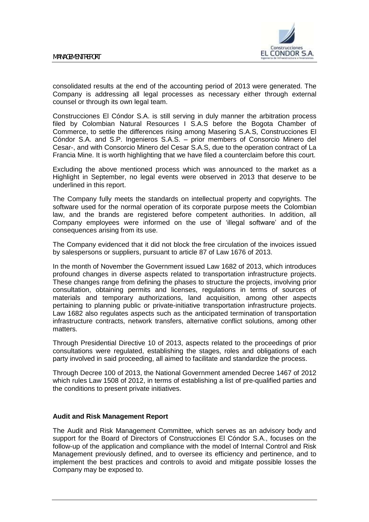

consolidated results at the end of the accounting period of 2013 were generated. The Company is addressing all legal processes as necessary either through external counsel or through its own legal team.

Construcciones El Cóndor S.A. is still serving in duly manner the arbitration process filed by Colombian Natural Resources I S.A.S before the Bogota Chamber of Commerce, to settle the differences rising among Masering S.A.S, Construcciones El Cóndor S.A. and S.P. Ingenieros S.A.S. – prior members of Consorcio Minero del Cesar-, and with Consorcio Minero del Cesar S.A.S, due to the operation contract of La Francia Mine. It is worth highlighting that we have filed a counterclaim before this court.

Excluding the above mentioned process which was announced to the market as a Highlight in September, no legal events were observed in 2013 that deserve to be underlined in this report.

The Company fully meets the standards on intellectual property and copyrights. The software used for the normal operation of its corporate purpose meets the Colombian law, and the brands are registered before competent authorities. In addition, all Company employees were informed on the use of 'illegal software' and of the consequences arising from its use.

The Company evidenced that it did not block the free circulation of the invoices issued by salespersons or suppliers, pursuant to article 87 of Law 1676 of 2013.

In the month of November the Government issued Law 1682 of 2013, which introduces profound changes in diverse aspects related to transportation infrastructure projects. These changes range from defining the phases to structure the projects, involving prior consultation, obtaining permits and licenses, regulations in terms of sources of materials and temporary authorizations, land acquisition, among other aspects pertaining to planning public or private-initiative transportation infrastructure projects. Law 1682 also regulates aspects such as the anticipated termination of transportation infrastructure contracts, network transfers, alternative conflict solutions, among other matters.

Through Presidential Directive 10 of 2013, aspects related to the proceedings of prior consultations were regulated, establishing the stages, roles and obligations of each party involved in said proceeding, all aimed to facilitate and standardize the process.

Through Decree 100 of 2013, the National Government amended Decree 1467 of 2012 which rules Law 1508 of 2012, in terms of establishing a list of pre-qualified parties and the conditions to present private initiatives.

### **Audit and Risk Management Report**

The Audit and Risk Management Committee, which serves as an advisory body and support for the Board of Directors of Construcciones El Cóndor S.A., focuses on the follow-up of the application and compliance with the model of Internal Control and Risk Management previously defined, and to oversee its efficiency and pertinence, and to implement the best practices and controls to avoid and mitigate possible losses the Company may be exposed to.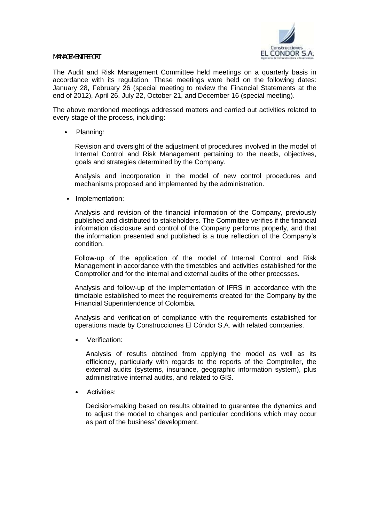

The Audit and Risk Management Committee held meetings on a quarterly basis in accordance with its regulation. These meetings were held on the following dates: January 28, February 26 (special meeting to review the Financial Statements at the end of 2012), April 26, July 22, October 21, and December 16 (special meeting).

The above mentioned meetings addressed matters and carried out activities related to every stage of the process, including:

• Planning:

Revision and oversight of the adjustment of procedures involved in the model of Internal Control and Risk Management pertaining to the needs, objectives, goals and strategies determined by the Company.

Analysis and incorporation in the model of new control procedures and mechanisms proposed and implemented by the administration.

• Implementation:

Analysis and revision of the financial information of the Company, previously published and distributed to stakeholders. The Committee verifies if the financial information disclosure and control of the Company performs properly, and that the information presented and published is a true reflection of the Company's condition.

Follow-up of the application of the model of Internal Control and Risk Management in accordance with the timetables and activities established for the Comptroller and for the internal and external audits of the other processes.

Analysis and follow-up of the implementation of IFRS in accordance with the timetable established to meet the requirements created for the Company by the Financial Superintendence of Colombia.

Analysis and verification of compliance with the requirements established for operations made by Construcciones El Cóndor S.A. with related companies.

• Verification:

Analysis of results obtained from applying the model as well as its efficiency, particularly with regards to the reports of the Comptroller, the external audits (systems, insurance, geographic information system), plus administrative internal audits, and related to GIS.

• Activities:

Decision-making based on results obtained to guarantee the dynamics and to adjust the model to changes and particular conditions which may occur as part of the business' development.